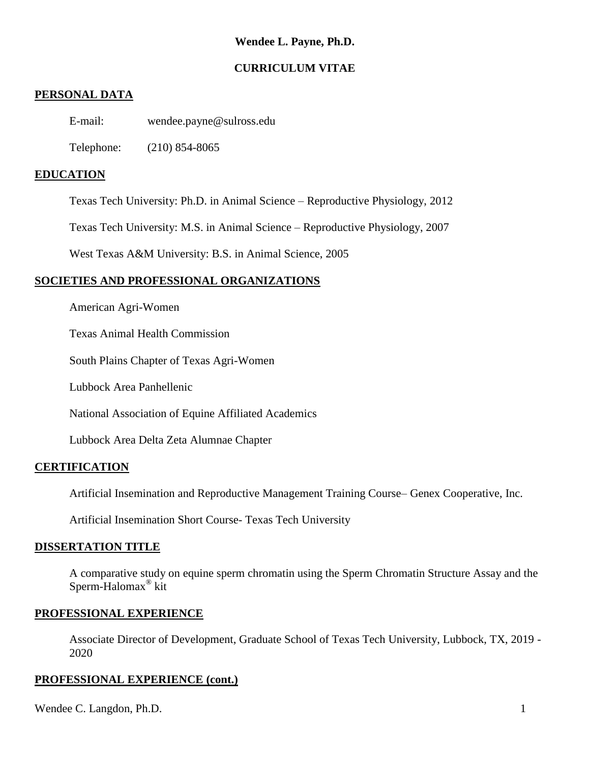# **Wendee L. Payne, Ph.D.**

## **CURRICULUM VITAE**

## **PERSONAL DATA**

E-mail: wendee.payne@sulross.edu

Telephone: (210) 854-8065

## **EDUCATION**

Texas Tech University: Ph.D. in Animal Science – Reproductive Physiology, 2012

Texas Tech University: M.S. in Animal Science – Reproductive Physiology, 2007

West Texas A&M University: B.S. in Animal Science, 2005

## **SOCIETIES AND PROFESSIONAL ORGANIZATIONS**

American Agri-Women

Texas Animal Health Commission

South Plains Chapter of Texas Agri-Women

Lubbock Area Panhellenic

National Association of Equine Affiliated Academics

Lubbock Area Delta Zeta Alumnae Chapter

## **CERTIFICATION**

Artificial Insemination and Reproductive Management Training Course– Genex Cooperative, Inc.

Artificial Insemination Short Course- Texas Tech University

#### **DISSERTATION TITLE**

A comparative study on equine sperm chromatin using the Sperm Chromatin Structure Assay and the Sperm-Halomax® kit

#### **PROFESSIONAL EXPERIENCE**

Associate Director of Development, Graduate School of Texas Tech University, Lubbock, TX, 2019 - 2020

#### **PROFESSIONAL EXPERIENCE (cont.)**

Wendee C. Langdon, Ph.D. 1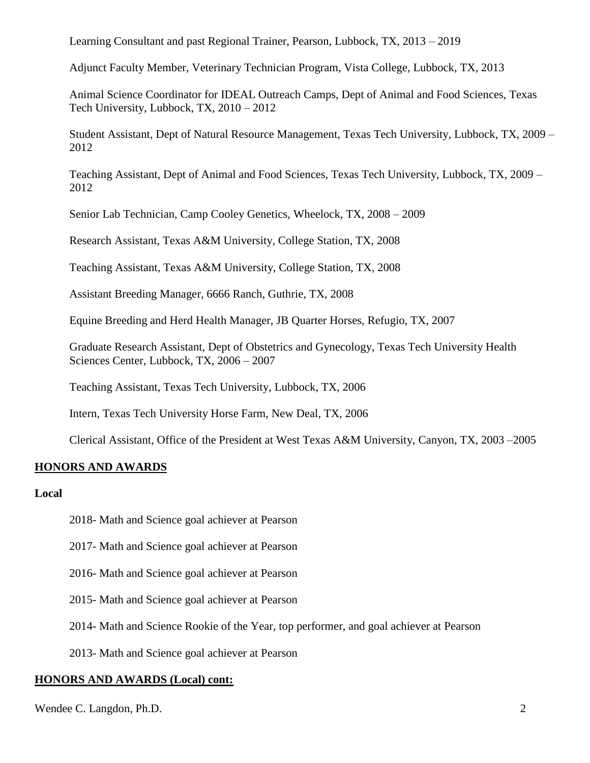Learning Consultant and past Regional Trainer, Pearson, Lubbock, TX, 2013 – 2019

Adjunct Faculty Member, Veterinary Technician Program, Vista College, Lubbock, TX, 2013

Animal Science Coordinator for IDEAL Outreach Camps, Dept of Animal and Food Sciences, Texas Tech University, Lubbock, TX, 2010 – 2012

Student Assistant, Dept of Natural Resource Management, Texas Tech University, Lubbock, TX, 2009 – 2012

Teaching Assistant, Dept of Animal and Food Sciences, Texas Tech University, Lubbock, TX, 2009 – 2012

Senior Lab Technician, Camp Cooley Genetics, Wheelock, TX, 2008 – 2009

Research Assistant, Texas A&M University, College Station, TX, 2008

Teaching Assistant, Texas A&M University, College Station, TX, 2008

Assistant Breeding Manager, 6666 Ranch, Guthrie, TX, 2008

Equine Breeding and Herd Health Manager, JB Quarter Horses, Refugio, TX, 2007

Graduate Research Assistant, Dept of Obstetrics and Gynecology, Texas Tech University Health Sciences Center, Lubbock, TX, 2006 – 2007

Teaching Assistant, Texas Tech University, Lubbock, TX, 2006

Intern, Texas Tech University Horse Farm, New Deal, TX, 2006

Clerical Assistant, Office of the President at West Texas A&M University, Canyon, TX, 2003 –2005

## **HONORS AND AWARDS**

#### **Local**

2018- Math and Science goal achiever at Pearson

2017- Math and Science goal achiever at Pearson

2016- Math and Science goal achiever at Pearson

2015- Math and Science goal achiever at Pearson

2014- Math and Science Rookie of the Year, top performer, and goal achiever at Pearson

2013- Math and Science goal achiever at Pearson

#### **HONORS AND AWARDS (Local) cont:**

Wendee C. Langdon, Ph.D. 2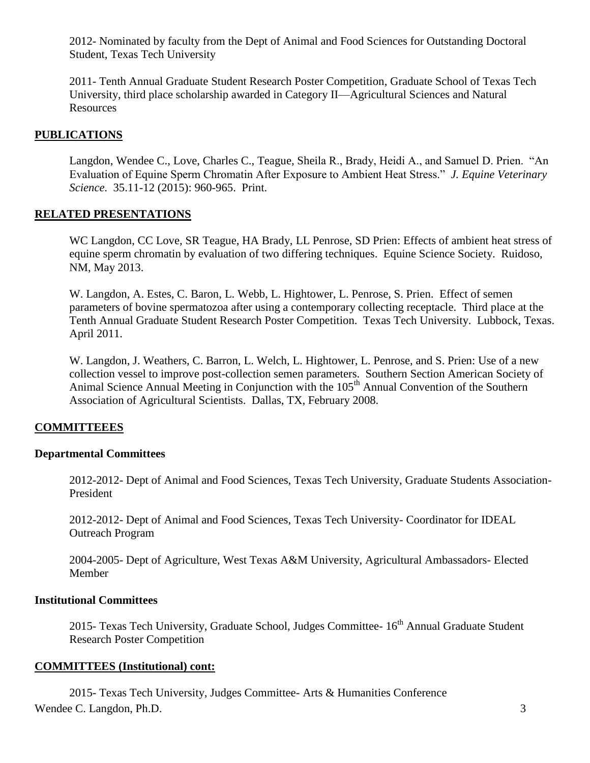2012- Nominated by faculty from the Dept of Animal and Food Sciences for Outstanding Doctoral Student, Texas Tech University

2011- Tenth Annual Graduate Student Research Poster Competition, Graduate School of Texas Tech University, third place scholarship awarded in Category II—Agricultural Sciences and Natural Resources

## **PUBLICATIONS**

Langdon, Wendee C., Love, Charles C., Teague, Sheila R., Brady, Heidi A., and Samuel D. Prien. "An Evaluation of Equine Sperm Chromatin After Exposure to Ambient Heat Stress." *J. Equine Veterinary Science*. 35.11-12 (2015): 960-965. Print.

## **RELATED PRESENTATIONS**

WC Langdon, CC Love, SR Teague, HA Brady, LL Penrose, SD Prien: Effects of ambient heat stress of equine sperm chromatin by evaluation of two differing techniques. Equine Science Society. Ruidoso, NM, May 2013.

W. Langdon, A. Estes, C. Baron, L. Webb, L. Hightower, L. Penrose, S. Prien. Effect of semen parameters of bovine spermatozoa after using a contemporary collecting receptacle. Third place at the Tenth Annual Graduate Student Research Poster Competition. Texas Tech University. Lubbock, Texas. April 2011.

W. Langdon, J. Weathers, C. Barron, L. Welch, L. Hightower, L. Penrose, and S. Prien: Use of a new collection vessel to improve post-collection semen parameters. Southern Section American Society of Animal Science Annual Meeting in Conjunction with the 105<sup>th</sup> Annual Convention of the Southern Association of Agricultural Scientists. Dallas, TX, February 2008.

## **COMMITTEEES**

#### **Departmental Committees**

2012-2012- Dept of Animal and Food Sciences, Texas Tech University, Graduate Students Association-President

2012-2012- Dept of Animal and Food Sciences, Texas Tech University- Coordinator for IDEAL Outreach Program

2004-2005- Dept of Agriculture, West Texas A&M University, Agricultural Ambassadors- Elected Member

## **Institutional Committees**

2015- Texas Tech University, Graduate School, Judges Committee- 16<sup>th</sup> Annual Graduate Student Research Poster Competition

#### **COMMITTEES (Institutional) cont:**

Wendee C. Langdon, Ph.D. 3 2015- Texas Tech University, Judges Committee- Arts & Humanities Conference